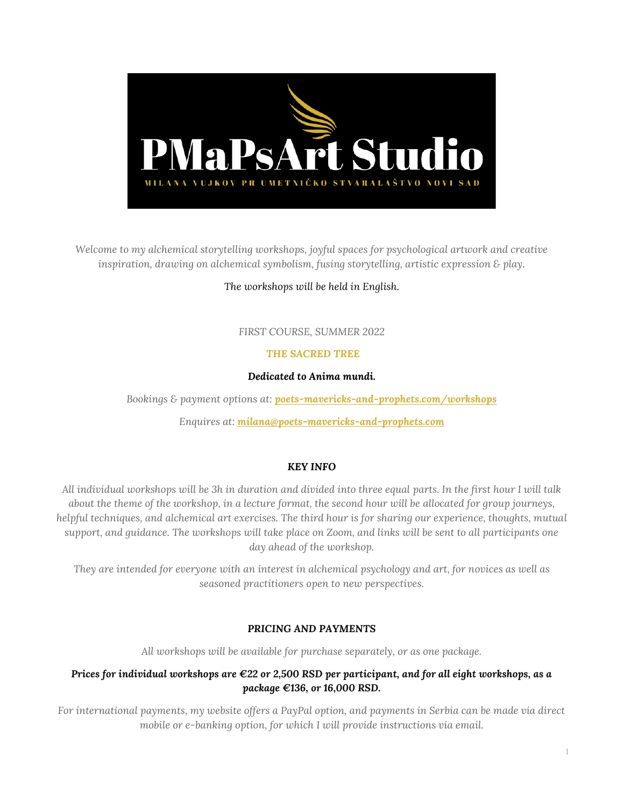

*Welcome to my alchemical storytelling workshops, joyful spaces for psychological artwork and creative inspiration, drawing on alchemical symbolism, fusing storytelling, artistic expression & play.*

# *The workshops will be held in English.*

# *FIRST COURSE, SUMMER 2022*

# *THE SACRED TREE*

## *Dedicated to Anima mundi.*

*Bookings & payment options at: [poets-mavericks-and-prophets.com/workshops](https://poets-mavericks-and-prophets.com/workshops/)*

*Enquires at: [milana@poets-mavericks-and-prophets.com](file:///D:/Milana/Milana%20Docs/Admin%20Work/FIRMA/WORKSHOPS/milana@poets-mavericks-and-prophets.com)*

## *KEY INFO*

*All individual workshops will be 3h in duration and divided into three equal parts. In the first hour I will talk about the theme of the workshop, in a lecture format, the second hour will be allocated for group journeys, helpful techniques, and alchemical art exercises. The third hour is for sharing our experience, thoughts, mutual support, and guidance. The workshops will take place on Zoom, and links will be sent to all participants one day ahead of the workshop.*

*They are intended for everyone with an interest in alchemical psychology and art, for novices as well as seasoned practitioners open to new perspectives.*

# *PRICING AND PAYMENTS*

*All workshops will be available for purchase separately, or as one package.* 

# *Prices for individual workshops are €22 or 2,500 RSD per participant, and for all eight workshops, as a package €136, or 16,000 RSD.*

*For international payments, my website offers a PayPal option, and payments in Serbia can be made via direct mobile or e-banking option, for which I will provide instructions via email.*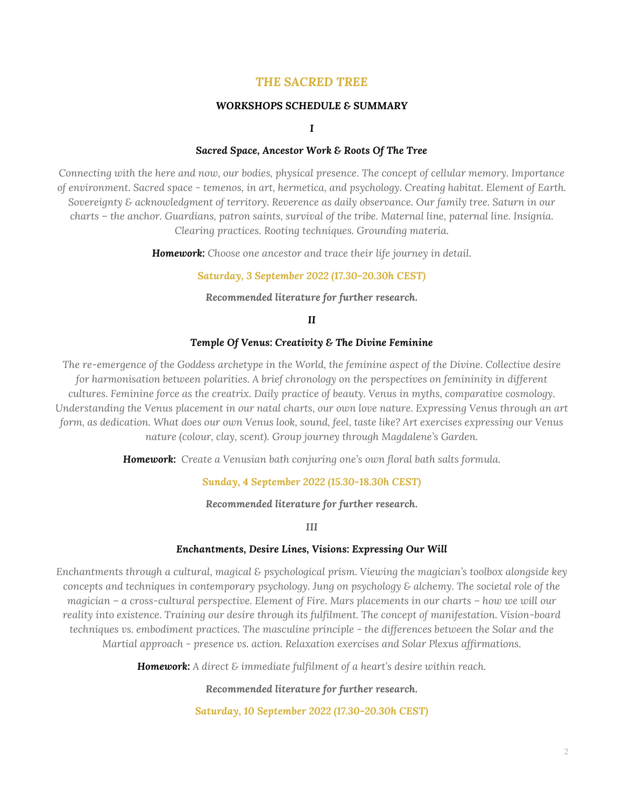# *THE SACRED TREE*

## *WORKSHOPS SCHEDULE & SUMMARY*

*I*

## *Sacred Space, Ancestor Work & Roots Of The Tree*

*Connecting with the here and now, our bodies, physical presence. The concept of cellular memory. Importance of environment. Sacred space - temenos, in art, hermetica, and psychology. Creating habitat. Element of Earth. Sovereignty & acknowledgment of territory. Reverence as daily observance. Our family tree. Saturn in our charts – the anchor. Guardians, patron saints, survival of the tribe. Maternal line, paternal line. Insignia. Clearing practices. Rooting techniques. Grounding materia.* 

*Homework: Choose one ancestor and trace their life journey in detail.*

## *Saturday, 3 September 2022 (17.30-20.30h CEST)*

*Recommended literature for further research.*

## *II*

## *Temple Of Venus: Creativity & The Divine Feminine*

*The re-emergence of the Goddess archetype in the World, the feminine aspect of the Divine. Collective desire for harmonisation between polarities. A brief chronology on the perspectives on femininity in different cultures. Feminine force as the creatrix. Daily practice of beauty. Venus in myths, comparative cosmology. Understanding the Venus placement in our natal charts, our own love nature. Expressing Venus through an art form, as dedication. What does our own Venus look, sound, feel, taste like? Art exercises expressing our Venus nature (colour, clay, scent). Group journey through Magdalene's Garden.*

*Homework: Create a Venusian bath conjuring one's own floral bath salts formula.*

## *Sunday, 4 September 2022 (15.30-18.30h CEST)*

### *Recommended literature for further research.*

*III*

#### *Enchantments, Desire Lines, Visions: Expressing Our Will*

*Enchantments through a cultural, magical & psychological prism. Viewing the magician's toolbox alongside key concepts and techniques in contemporary psychology. Jung on psychology & alchemy. The societal role of the magician* – *a* cross-cultural perspective. Element of Fire. Mars placements in our charts – how we will our *reality into existence. Training our desire through its fulfilment. The concept of manifestation. Vision-board techniques vs. embodiment practices. The masculine principle - the differences between the Solar and the Martial approach - presence vs. action. Relaxation exercises and Solar Plexus affirmations.*

*Homework: A direct & immediate fulfilment of a heart's desire within reach.*

*Recommended literature for further research.*

*Saturday, 10 September 2022 (17.30-20.30h CEST)*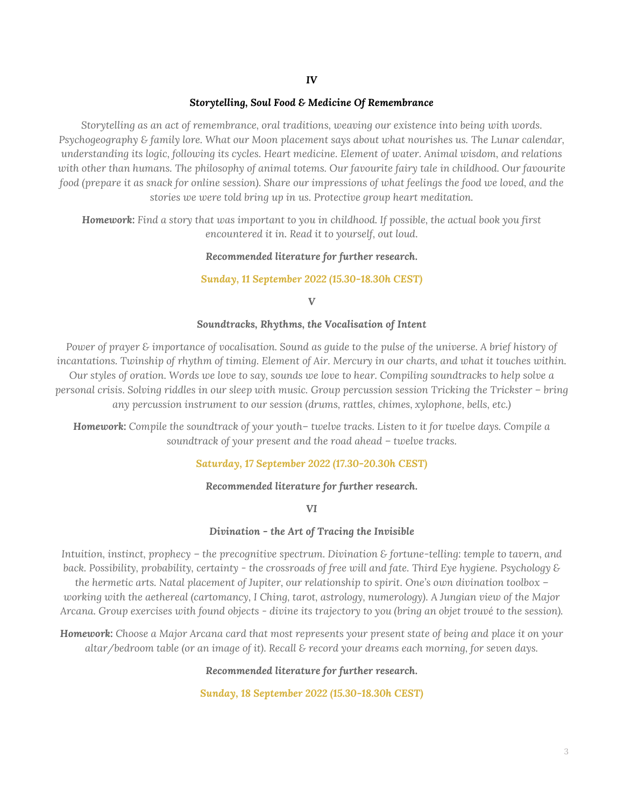*IV*

## *Storytelling, Soul Food & Medicine Of Remembrance*

*Storytelling as an act of remembrance, oral traditions, weaving our existence into being with words. Psychogeography & family lore. What our Moon placement says about what nourishes us. The Lunar calendar, understanding its logic, following its cycles. Heart medicine. Element of water. Animal wisdom, and relations*  with other than humans. The philosophy of animal totems. Our favourite fairy tale in childhood. Our favourite *food (prepare it as snack for online session). Share our impressions of what feelings the food we loved, and the stories we were told bring up in us. Protective group heart meditation.*

*Homework: Find a story that was important to you in childhood. If possible, the actual book you first encountered it in. Read it to yourself, out loud.*

## *Recommended literature for further research.*

## *Sunday, 11 September 2022 (15.30-18.30h CEST)*

*V*

## *Soundtracks, Rhythms, the Vocalisation of Intent*

*Power of prayer & importance of vocalisation. Sound as quide to the pulse of the universe. A brief history of incantations. Twinship of rhythm of timing. Element of Air. Mercury in our charts, and what it touches within. Our styles of oration. Words we love to say, sounds we love to hear. Compiling soundtracks to help solve a personal crisis. Solving riddles in our sleep with music. Group percussion session Tricking the Trickster – bring any percussion instrument to our session (drums, rattles, chimes, xylophone, bells, etc.)*

*Homework: Compile the soundtrack of your youth– twelve tracks. Listen to it for twelve days. Compile a soundtrack of your present and the road ahead – twelve tracks.*

## *Saturday, 17 September 2022 (17.30-20.30h CEST)*

## *Recommended literature for further research.*

*VI*

## *Divination - the Art of Tracing the Invisible*

*Intuition, instinct, prophecy – the precognitive spectrum. Divination & fortune-telling: temple to tavern, and back. Possibility, probability, certainty - the crossroads of free will and fate. Third Eye hygiene. Psychology & the hermetic arts. Natal placement of Jupiter, our relationship to spirit. One's own divination toolbox – working with the aethereal (cartomancy, I Ching, tarot, astrology, numerology). A Jungian view of the Major Arcana. Group exercises with found objects - divine its trajectory to you (bring an objet trouvé to the session).*

*Homework: Choose a Major Arcana card that most represents your present state of being and place it on your altar/bedroom table (or an image of it). Recall & record your dreams each morning, for seven days.*

## *Recommended literature for further research.*

*Sunday, 18 September 2022 (15.30-18.30h CEST)*